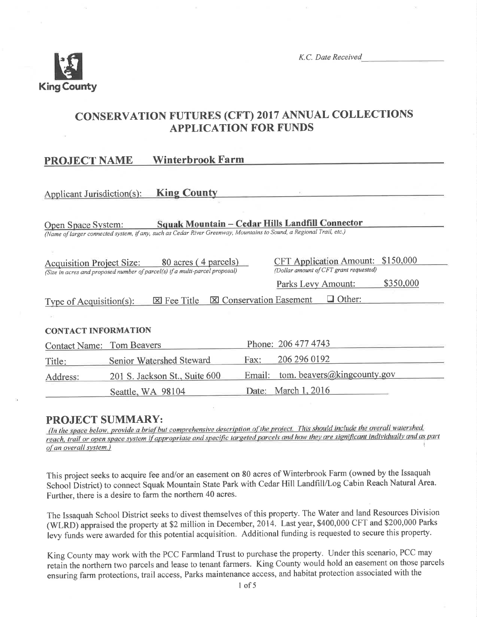

K.C. Date Received

## **CONSERVATION FUTURES (CFT) 2017 ANNUAL COLLECTIONS APPLICATION FOR FUNDS**

#### **Winterbrook Farm PROJECT NAME**

#### **King County** Applicant Jurisdiction(s):

Squak Mountain - Cedar Hills Landfill Connector Open Space System: (Name of larger connected system, if any, such as Cedar River Greenway, Mountains to Sound, a Regional Trail, etc.)

| <b>Acquisition Project Size:</b>                                            | 80 acres (4 parcels) |                                                         |                    | CFT Application Amount: \$150,000 |           |
|-----------------------------------------------------------------------------|----------------------|---------------------------------------------------------|--------------------|-----------------------------------|-----------|
| (Size in acres and proposed number of parcel(s) if a multi-parcel proposal) |                      | (Dollar amount of CFT grant requested)                  |                    |                                   |           |
|                                                                             |                      |                                                         | Parks Levy Amount: |                                   | \$350,000 |
| Type of Acquisition(s):                                                     |                      | $\boxtimes$ Fee Title $\boxtimes$ Conservation Easement |                    | $\Box$ Other:                     |           |
|                                                                             |                      |                                                         |                    |                                   |           |

#### **CONTACT INFORMATION**

| <b>Contact Name: Tom Beavers</b> |                               |      | Phone: 206 477 4743                |
|----------------------------------|-------------------------------|------|------------------------------------|
| Title:                           | Senior Watershed Steward      | Fax: | 206 296 0192                       |
| Address:                         | 201 S. Jackson St., Suite 600 |      | Email: tom. beavers@kingcounty.gov |
|                                  | Seattle, WA 98104             |      | Date: March 1, 2016                |

## **PROJECT SUMMARY:**

(In the space below, provide a brief but comprehensive description of the project. This should include the overall watershed, reach, trail or open space system if appropriate and specific targeted parcels and how they are significant individually and as part of an overall system.)

This project seeks to acquire fee and/or an easement on 80 acres of Winterbrook Farm (owned by the Issaquah School District) to connect Squak Mountain State Park with Cedar Hill Landfill/Log Cabin Reach Natural Area. Further, there is a desire to farm the northern 40 acres.

The Issaquah School District seeks to divest themselves of this property. The Water and land Resources Division (WLRD) appraised the property at \$2 million in December, 2014. Last year, \$400,000 CFT and \$200,000 Parks levy funds were awarded for this potential acquisition. Additional funding is requested to secure this property.

King County may work with the PCC Farmland Trust to purchase the property. Under this scenario, PCC may retain the northern two parcels and lease to tenant farmers. King County would hold an easement on those parcels ensuring farm protections, trail access, Parks maintenance access, and habitat protection associated with the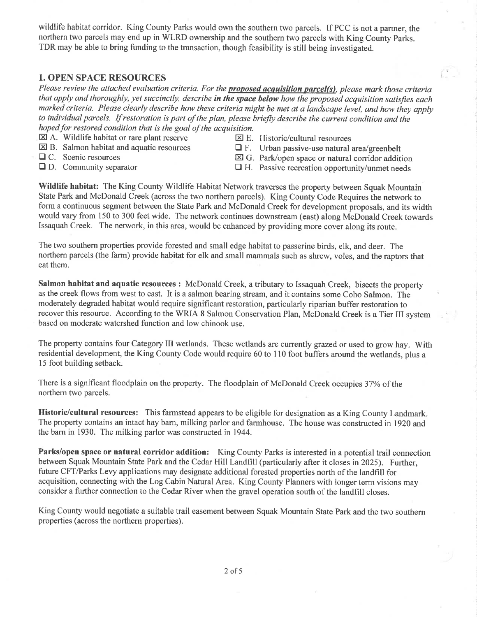wildlife habitat corridor. King County Parks would own the southern two parcels. If PCC is not a partner, the northern two parcels may end up in WLRD ownership and the southern two parcels with King County Parks. TDR may be able to bring funding to the transaction, though feasibility is still being investigated.

#### 1. OPEN SPACE RESOURCES

Please review the attached evaluation criteria. For the proposed acquisition parcel(s), please mark those criteria that apply and thoroughly, yet succinctly, describe in the space below how the proposed acquisition satisfies each marked criteria. Please clearly describe how these criteria might be met at a landscape level, and how they apply to individual parcels. If restoration is part of the plan, please briefly describe the current condition and the hoped for restored condition that is the goal of the acquisition.

- $\boxtimes$  A. Wildlife habitat or rare plant reserve  $\boxtimes$  E. Historic/cultural resources  $\boxtimes$  B. Salmon habitat and aquatic resources  $\Box$  F. Urban nassive-use natural
- 
- 
- 
- 
- $\boxtimes$  B. Salmon habitat and aquatic resources  $\Box$  F. Urban passive-use natural area/greenbelt  $\Box$  C. Scenic resources  $\boxtimes$  G. Park/open space or natural corridor additional
	- $\Box$  H. Passive recreation opportunity/unmet needs
	-
- $\Box$  C. Scenic resources  $\Box$  G. Park/open space or natural corridor addition  $\Box$  D. Community separator  $\Box$  H. Passive recreation opportunity/unmet needs
	-

Wildlife habitat: The King County Wildlife Habitat Network traverses the property between Squak Mountain State Park and McDonald Creek (across the two northern parcels). King County Code Requires the network to form a continuous segment between the State Park and McDonald Creek for development proposals, and its width would vary from 150 to 300 feet wide. The network continues downstream (east) along McDonald Creek towards Issaquah Creek. The network, in this area, would be enhanced by providing more cover along its route.

The two southern properties provide forested and small edge habitat to passerine birds, elk, and deer. The northern parcels (the farm) provide habitat for elk and small mammals such as shrew, voles, and the raptors that eat them.

Salmon habitat and aquatic resources : McDonald Creek, a tributary to Issaquah Creek, bisects the property as the creek flows from west to east. It is a salmon bearing stream, and it contains some Coho Salmon. The moderately degraded habitat would require significant restoration, particularly riparian buffer restoration to recover this resource. According to the WRIA 8 Salmon Conservation Plan, McDonald Creek is a Tier III system based on moderate watershed function and low chinook use.

The property contains four Category III wetlands. These wetlands are currently grazed or used to grow hay. With residential development, the King County Code would require 60 to 110 foot buffers around the wetlands, plus a 15 foot building setback.

There is a significant floodplain on the property. The floodplain of McDonald Creek occupies 37% of the northern two parcels.

Historic/cultural resources: This farmstead appears to be eligible for designation as a King County Landmark. The property contains an intact hay barn, milking parlor and farmhouse. The house was constructed in 1920 and the barn in 1930. The milking parlor was constructed in 1944.

Parks/open space or natural corridor addition: King County Parks is interested in a potential trail connection between Squak Mountain State Park and the Cedar Hill Landfill (particularly after it closes in2025). Further, future CFT/Parks Levy applications may designate additional forested properties north of the landfill for acquisition, connecting with the Log Cabin Natural Area. King County Planners with longer term visions may consider a further connection to the Cedar River when the gravel operation south of the landfill closes.

King County would negotiate a suitable trail easement between Squak Mountain State Park and the two southern properties (across the northern properties).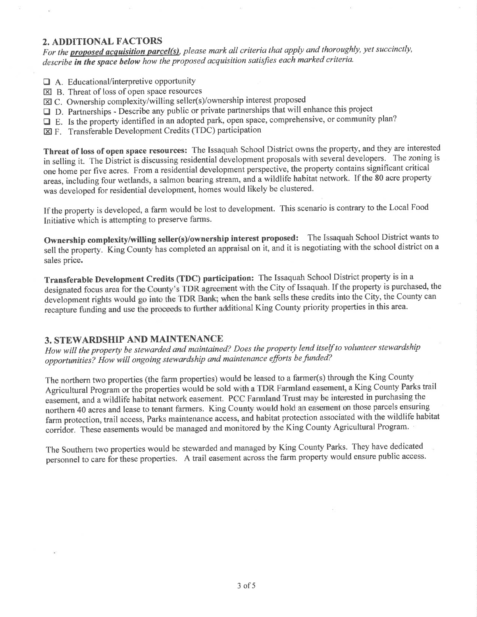#### 2. ADDITIONAL FACTORS

For the **proposed acquisition parcel(s)**, please mark all criteria that apply and thoroughly, yet succinctly, describe in the space below how the proposed acquisition satisfies each marked criteria.

- $\Box$  A. Educational/interpretive opportunity
- $\boxtimes$  B. Threat of loss of open space resources
- $\boxtimes$  C. Ownership complexity/willing seller(s)/ownership interest proposed
- $\Box$  D. Partnerships Describe any public or private partnerships that will enhance this project
- □ E. Is the property identified in an adopted park, open space, comprehensive, or community plan?
- E F. Transferable Development Credits (TDC) participation

Threat of loss of open space resources: The Issaquah School District owns the property, and they are interested in selling it. The District is discussing residential development proposals with several developers. The zoning is one home per five acres. From a residential development perspective, the property contains significant critical areas, including four wetlands, a salmon bearing stream, and a wildlife habitat network. If the 80 acre property was developed for residential development, homes would likely be clustered.

If the property is developed, a farm would be lost to development. This scenario is contrary to the Local Food Initiative which is attempting to preserve farms.

Ownership complexity/willing seller(s)/ownership interest proposed: The Issaquah School District wants to sell the property. King County has completed an appraisal on it, and it is negotiating with the school district on a sales price.

Transferable Development Credits (TDC) participation: The Issaquah School District property is in a designated focus area for the County's TDR agreement with the City of Issaquah. If the property is purchased, the development rights would go into the TDR Bank; when the bank sells these credits into the City, the County can recapture funding and use the proceeds to further additional King County priority properties in this area.

#### **3. STEWARDSHIP AND MAINTENANCE**

How will the property be stewarded and maintained? Does the property lend itself to volunteer stewardship opportunities? How will ongoing stewardship and maintenance efforts be funded?

The northern two properties (the farm properties) would be leased to a farmer(s) through the King County Agricultural Program or the properties would be sold with a TDR Farmland easement, a King County Parks trail easement, and a wildlife habitat network easement. PCC Farmland Trust may be interested in purchasing the northern 40 acres and lease to tenant farmers. King County would hold an easement on those parcels ensuring farm protection, trail access, Parks maintenance access, and habitat protection associated with the wildlife habitat corridor. These easements would be managed and monitored by the King County Agricultural Program.

The Southern two properties would be stewarded and managed by King County Parks. They have dedicated personnel to care for these properties. A trail easement across the farm property would ensure public access.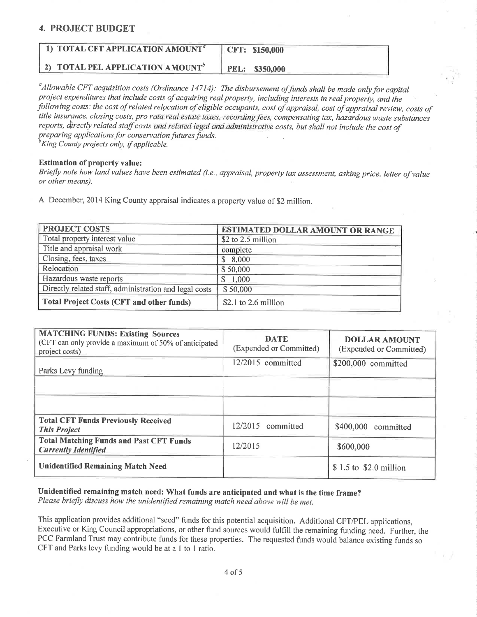#### 4. PROJECT BUDGET

| 1) TOTAL CFT APPLICATION AMOUNT <sup>a</sup>        | CFT: \$150,000 |
|-----------------------------------------------------|----------------|
| <b>2) TOTAL PEL APPLICATION AMOUNT</b> <sup>b</sup> | PEL: \$350,000 |

 $\alpha$ Allowable CFT acquisition costs (Ordinance 14714): The disbursement of funds shall be made only for capital proiect expenditures that ínclude costs of acquiring real property, including interests in real property, and the following costs: the cost of related relocation of eligible occupants, cost of appraìsal, cost of appraisal review, costs of title insurance, closing costs, pro rata real estate taxes, recording fees, compensating tax, hazardous waste substances reports, directly related staff costs and related legal and administrative costs, but shall not include the cost of preparing applications for conservation futures funds.  $\delta$ King County projects only, if applicable.

Estimation of property value:

Briefly note how land values have been estimated (i.e., appraisal, property tax assessment, asking price, letter of value or other means).

A December,2014 King county appraisal indicates a properry value of S2 million.

| <b>PROJECT COSTS</b>                                   | <b>ESTIMATED DOLLAR AMOUNT OR RANGE</b> |
|--------------------------------------------------------|-----------------------------------------|
| Total property interest value                          | \$2 to 2.5 million                      |
| Title and appraisal work                               | complete                                |
| Closing, fees, taxes                                   | \$8,000                                 |
| Relocation                                             | \$50,000                                |
| Hazardous waste reports                                | \$1,000                                 |
| Directly related staff, administration and legal costs | \$50,000                                |
| <b>Total Project Costs (CFT and other funds)</b>       | $$2.1$ to 2.6 million                   |

| <b>MATCHING FUNDS: Existing Sources</b><br>(CFT can only provide a maximum of 50% of anticipated<br>project costs) | <b>DATE</b><br>(Expended or Committed) | <b>DOLLAR AMOUNT</b><br>(Expended or Committed) |
|--------------------------------------------------------------------------------------------------------------------|----------------------------------------|-------------------------------------------------|
| Parks Levy funding                                                                                                 | 12/2015 committed                      | \$200,000 committed                             |
|                                                                                                                    |                                        |                                                 |
|                                                                                                                    |                                        |                                                 |
| <b>Total CFT Funds Previously Received</b><br><b>This Project</b>                                                  | 12/2015 committed                      | \$400,000 committed                             |
| <b>Total Matching Funds and Past CFT Funds</b><br><b>Currently Identified</b>                                      | 12/2015                                | \$600,000                                       |
| <b>Unidentified Remaining Match Need</b>                                                                           |                                        | \$1.5 to \$2.0 million                          |

Unidentified remaining match need: What funds are anticipated and what is the time frame?

Please briefly discuss how the unidentified remaining match need above will be met.

This application provides additional "seed" funds for this potential acquisition. Additional CFT/PEL applications, Executive or King Council appropriations, or other fund sources would fulfill the remaining funding need. Futher, the PCC Farmland Trust may contribute funds for these properties. The requested funds would balance existing funds so CFT and Parks levy funding would be at a I to I ratio.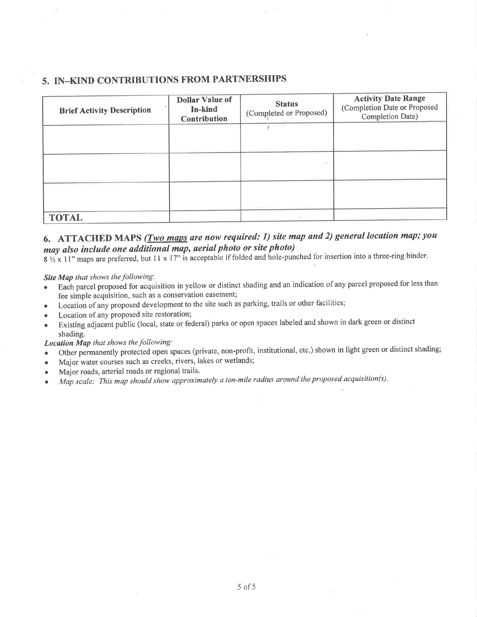#### 5. IN\_KIND CONTRIBUTIONS FROM PARTNERSHIPS

| <b>Brief Activity Description</b> | <b>Dollar Value of</b><br>In-kind<br>Contribution | <b>Status</b><br>(Completed or Proposed) | <b>Activity Date Range</b><br>(Completion Date or Proposed<br>Completion Date) |
|-----------------------------------|---------------------------------------------------|------------------------------------------|--------------------------------------------------------------------------------|
|                                   |                                                   | $\mathcal{A}$                            |                                                                                |
|                                   |                                                   |                                          |                                                                                |
| <b>TOTAL</b>                      |                                                   |                                          |                                                                                |

## 6. ATTACHED MAPS (*Two maps are now required: 1) site map and 2) general location map; you* may also include one additional map, aerial photo or site photo)

 $8\frac{1}{2}$  x 11" maps are preferred, but 11 x 17" is acceptable if folded and hole-punched for insertion into a three-ring binder.

Site Map that shows the following:

- Each parcel proposed for acquisition in yellow or distinct shading and an indication of any parcel proposed for less than fee simple acquisition, such as a conservation easement;
- o Location of any proposed development to the site such as parking, trails or other facilities;
- Location of any proposed site restoration;
- Existing adjacent public (local, state or federal) parks or open spaces labeled and shown in dark green or distinct shading.

Location Map that shows the following:

- Other permanently protected open spaces (private, non-profit, institutional, etc.) shown in light green or distinct shading;
- . Major water courses such as creeks, rivers, lakes or wetlands;
- Major roads, arterial roads or regional trails.
- . Màp scale: This map should show approximately a ten-mile radius around the proposed acquisition(s).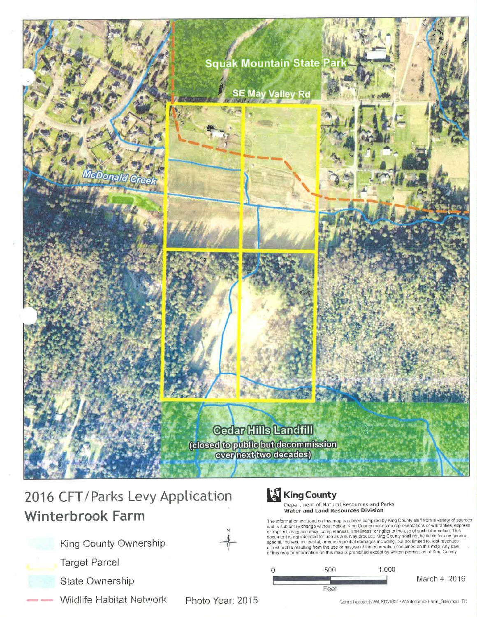

# 2016 CFT/Parks Levy Application **Winterbrook Farm**



**Target Parcel** 



**Wildlife Habitat Network** 

King County Ownership

Photo Year: 2015



Department of Natural Resources and Parks Water and Land Resources Division

The information included on this map has been compiled by King County staff from a variety of sources<br>and is subject to change without notice. King County makes no representations or warranties, express<br>or implied, as to a